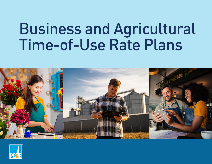# Business and Agricultural Time-of-Use Rate Plans



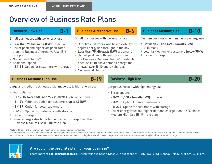## <span id="page-1-0"></span>Overview of Business Rate Plans

**B-1**

### Small businesses with low energy use

- **Less than 75 kilowatts (kW)\*** of demand
- Lower peak and higher off-peak rates than the Business Alternative Use (B-6) rate plan
- No demand charge\*\*
- Additional option:
	- **- B1-ST**: Option for customers with storage

### **B-6 Business Low Use Business Alternative Use Business Medium Use**

Small businesses with low energy use

- Benefits customers who have flexibility to adjust energy use throughout the day
- **• Less than 75 kilowatts (kW)** of demand
- Higher peak and off-peak rates than the Business Medium Use (B-10) rate plan because B-10 has a demand charge that allows lower B-10 energy charges.\*\*
- No demand charge

Medium businesses with moderate energy use

**B-10**

- **Between 75 and 499 kilowatts (kW)**  of demand
- Voluntary option for customers **below 75kW**
- Demand charge

### **Business Medium High Use Business High Use**

Large and medium businesses with moderate to high energy use

- Four options:
	- **- B-19**: **Between 500 and 999 kilowatts (kW)** of demand
	- **- B-19V**: Voluntary option for customers **up to 499kW**
	- **- B-19R**: Option for solar customers
	- **- B-19S**: Option for customers with storage
- Demand charge
- Lower energy rates but a higher demand charge than the Business Medium Use (B-10) rate plan

\* Kilowatt (kW) is the measure of how much power electric equipment consumes.

\*\* Some time-of-use rate plans include a demand charge to encourage businesses to spread their electricity use throughout the day. This demand charge is calculated by using the 15-minute interval during each billing month when your business uses its maximum amount of electricity. Regular electricity usage charges are lower than for a comparable rate plan without a demand charge.



### **Are you on the best rate plan for your business?**

Learn more at **[pge.com/rateanalysis](http://www.pge.com/rateanalysis)**. Or call your business advisor with questions at **1-800-468-4743**, Monday-Friday, 7:00 a.m.-6:00 p.m.

### **B-19 B-20**

Large businesses with high energy use

- Three options:
	- **- B-20**: **1,000 kilowatts (kW)** or more
	- **B-20R**: Option for solar customers
	- **B-20S**: Option for customers with storage
- Lower energy rates but higher demand charge than the Business Medium High Use (B-19) rate plan